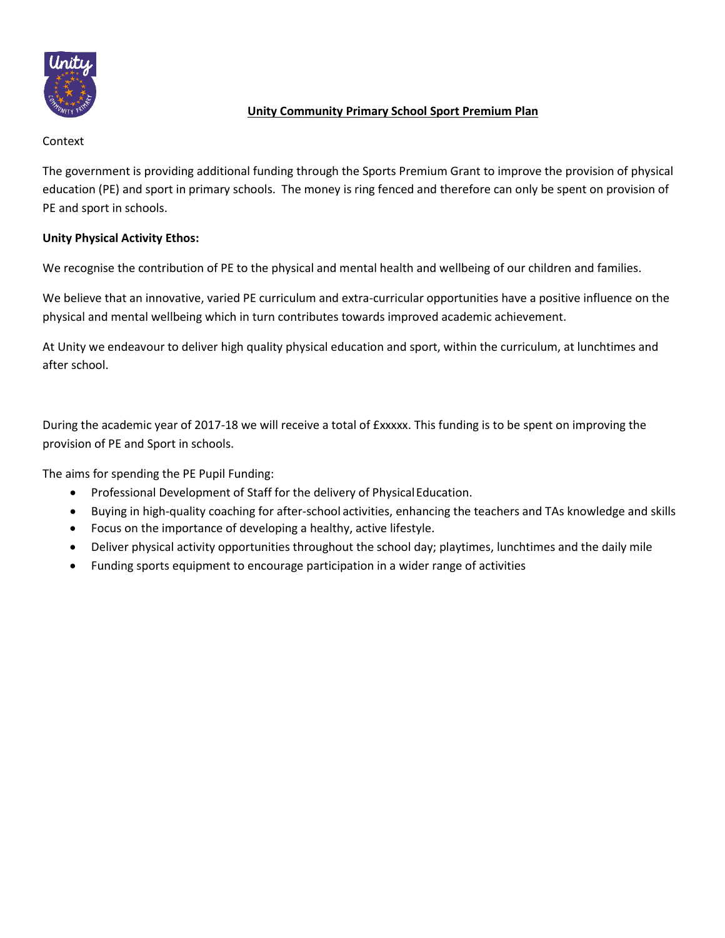

## **Unity Community Primary School Sport Premium Plan**

## Context

The government is providing additional funding through the Sports Premium Grant to improve the provision of physical education (PE) and sport in primary schools. The money is ring fenced and therefore can only be spent on provision of PE and sport in schools.

## **Unity Physical Activity Ethos:**

We recognise the contribution of PE to the physical and mental health and wellbeing of our children and families.

We believe that an innovative, varied PE curriculum and extra-curricular opportunities have a positive influence on the physical and mental wellbeing which in turn contributes towards improved academic achievement.

At Unity we endeavour to deliver high quality physical education and sport, within the curriculum, at lunchtimes and after school.

During the academic year of 2017-18 we will receive a total of £xxxxx. This funding is to be spent on improving the provision of PE and Sport in schools.

The aims for spending the PE Pupil Funding:

- Professional Development of Staff for the delivery of Physical Education.
- Buying in high-quality coaching for after-school activities, enhancing the teachers and TAs knowledge and skills
- Focus on the importance of developing a healthy, active lifestyle.
- Deliver physical activity opportunities throughout the school day; playtimes, lunchtimes and the daily mile
- Funding sports equipment to encourage participation in a wider range of activities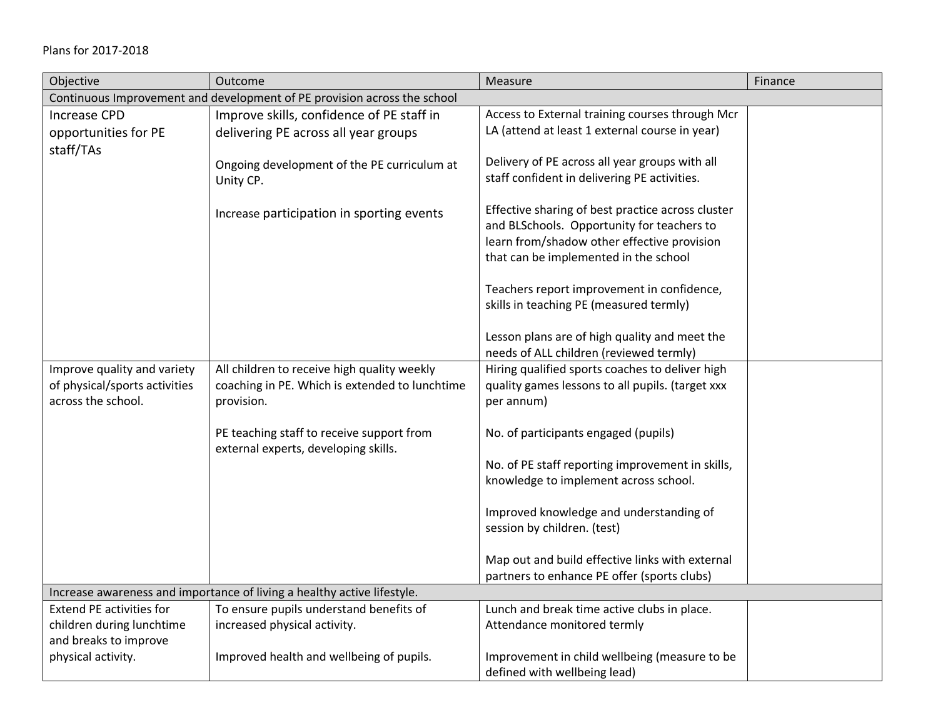## Plans for 2017-2018

| Objective                                                               | Outcome                                                                  | <b>Measure</b>                                    | Finance |  |
|-------------------------------------------------------------------------|--------------------------------------------------------------------------|---------------------------------------------------|---------|--|
|                                                                         | Continuous Improvement and development of PE provision across the school |                                                   |         |  |
| <b>Increase CPD</b>                                                     | Improve skills, confidence of PE staff in                                | Access to External training courses through Mcr   |         |  |
| opportunities for PE                                                    | delivering PE across all year groups                                     | LA (attend at least 1 external course in year)    |         |  |
| staff/TAs                                                               |                                                                          |                                                   |         |  |
|                                                                         | Ongoing development of the PE curriculum at                              | Delivery of PE across all year groups with all    |         |  |
|                                                                         | Unity CP.                                                                | staff confident in delivering PE activities.      |         |  |
|                                                                         |                                                                          |                                                   |         |  |
|                                                                         | Increase participation in sporting events                                | Effective sharing of best practice across cluster |         |  |
|                                                                         |                                                                          | and BLSchools. Opportunity for teachers to        |         |  |
|                                                                         |                                                                          | learn from/shadow other effective provision       |         |  |
|                                                                         |                                                                          | that can be implemented in the school             |         |  |
|                                                                         |                                                                          |                                                   |         |  |
|                                                                         |                                                                          | Teachers report improvement in confidence,        |         |  |
|                                                                         |                                                                          | skills in teaching PE (measured termly)           |         |  |
|                                                                         |                                                                          | Lesson plans are of high quality and meet the     |         |  |
|                                                                         |                                                                          | needs of ALL children (reviewed termly)           |         |  |
| Improve quality and variety                                             | All children to receive high quality weekly                              | Hiring qualified sports coaches to deliver high   |         |  |
| of physical/sports activities                                           | coaching in PE. Which is extended to lunchtime                           | quality games lessons to all pupils. (target xxx  |         |  |
| across the school.                                                      | provision.                                                               | per annum)                                        |         |  |
|                                                                         |                                                                          |                                                   |         |  |
|                                                                         | PE teaching staff to receive support from                                | No. of participants engaged (pupils)              |         |  |
|                                                                         | external experts, developing skills.                                     |                                                   |         |  |
|                                                                         |                                                                          | No. of PE staff reporting improvement in skills,  |         |  |
|                                                                         |                                                                          | knowledge to implement across school.             |         |  |
|                                                                         |                                                                          |                                                   |         |  |
|                                                                         |                                                                          | Improved knowledge and understanding of           |         |  |
|                                                                         |                                                                          | session by children. (test)                       |         |  |
|                                                                         |                                                                          |                                                   |         |  |
|                                                                         |                                                                          | Map out and build effective links with external   |         |  |
|                                                                         |                                                                          | partners to enhance PE offer (sports clubs)       |         |  |
| Increase awareness and importance of living a healthy active lifestyle. |                                                                          |                                                   |         |  |
| <b>Extend PE activities for</b>                                         | To ensure pupils understand benefits of                                  | Lunch and break time active clubs in place.       |         |  |
| children during lunchtime                                               | increased physical activity.                                             | Attendance monitored termly                       |         |  |
| and breaks to improve                                                   |                                                                          |                                                   |         |  |
| physical activity.                                                      | Improved health and wellbeing of pupils.                                 | Improvement in child wellbeing (measure to be     |         |  |
|                                                                         |                                                                          | defined with wellbeing lead)                      |         |  |